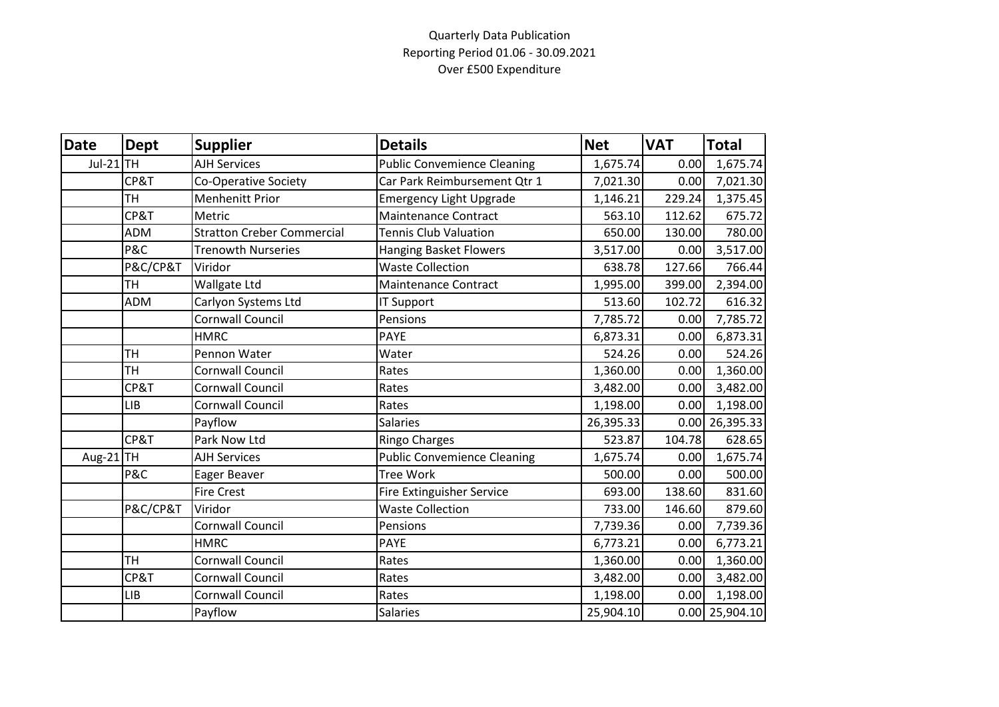## Quarterly Data Publication Reporting Period 01.06 - 30.09.2021 Over £500 Expenditure

| <b>Date</b> | <b>Dept</b> | <b>Supplier</b>                   | <b>Details</b>                     | <b>Net</b> | <b>VAT</b> | <b>Total</b>     |
|-------------|-------------|-----------------------------------|------------------------------------|------------|------------|------------------|
| Jul-21 TH   |             | <b>AJH Services</b>               | <b>Public Convemience Cleaning</b> | 1,675.74   | 0.00       | 1,675.74         |
|             | CP&T        | Co-Operative Society              | Car Park Reimbursement Qtr 1       | 7,021.30   | 0.00       | 7,021.30         |
|             | <b>TH</b>   | <b>Menhenitt Prior</b>            | <b>Emergency Light Upgrade</b>     | 1,146.21   | 229.24     | 1,375.45         |
|             | CP&T        | Metric                            | <b>Maintenance Contract</b>        | 563.10     | 112.62     | 675.72           |
|             | <b>ADM</b>  | <b>Stratton Creber Commercial</b> | <b>Tennis Club Valuation</b>       | 650.00     | 130.00     | 780.00           |
|             | P&C         | <b>Trenowth Nurseries</b>         | <b>Hanging Basket Flowers</b>      | 3,517.00   | 0.00       | 3,517.00         |
|             | P&C/CP&T    | Viridor                           | <b>Waste Collection</b>            | 638.78     | 127.66     | 766.44           |
|             | <b>TH</b>   | Wallgate Ltd                      | <b>Maintenance Contract</b>        | 1,995.00   | 399.00     | 2,394.00         |
|             | <b>ADM</b>  | Carlyon Systems Ltd               | IT Support                         | 513.60     | 102.72     | 616.32           |
|             |             | <b>Cornwall Council</b>           | Pensions                           | 7,785.72   | 0.00       | 7,785.72         |
|             |             | <b>HMRC</b>                       | <b>PAYE</b>                        | 6,873.31   | 0.00       | 6,873.31         |
|             | <b>TH</b>   | Pennon Water                      | Water                              | 524.26     | 0.00       | 524.26           |
|             | <b>TH</b>   | <b>Cornwall Council</b>           | Rates                              | 1,360.00   | 0.00       | 1,360.00         |
|             | CP&T        | Cornwall Council                  | Rates                              | 3,482.00   | 0.00       | 3,482.00         |
|             | <b>LIB</b>  | Cornwall Council                  | Rates                              | 1,198.00   | 0.00       | 1,198.00         |
|             |             | Payflow                           | Salaries                           | 26,395.33  |            | $0.00$ 26,395.33 |
|             | CP&T        | Park Now Ltd                      | <b>Ringo Charges</b>               | 523.87     | 104.78     | 628.65           |
| Aug-21 TH   |             | <b>AJH Services</b>               | <b>Public Convemience Cleaning</b> | 1,675.74   | 0.00       | 1,675.74         |
|             | P&C         | Eager Beaver                      | <b>Tree Work</b>                   | 500.00     | 0.00       | 500.00           |
|             |             | <b>Fire Crest</b>                 | <b>Fire Extinguisher Service</b>   | 693.00     | 138.60     | 831.60           |
|             | P&C/CP&T    | Viridor                           | <b>Waste Collection</b>            | 733.00     | 146.60     | 879.60           |
|             |             | <b>Cornwall Council</b>           | Pensions                           | 7,739.36   | 0.00       | 7,739.36         |
|             |             | <b>HMRC</b>                       | <b>PAYE</b>                        | 6,773.21   | 0.00       | 6,773.21         |
|             | <b>TH</b>   | Cornwall Council                  | Rates                              | 1,360.00   | 0.00       | 1,360.00         |
|             | CP&T        | Cornwall Council                  | Rates                              | 3,482.00   | 0.00       | 3,482.00         |
|             | <b>LIB</b>  | Cornwall Council                  | Rates                              | 1,198.00   | 0.00       | 1,198.00         |
|             |             | Payflow                           | Salaries                           | 25,904.10  |            | $0.00$ 25,904.10 |